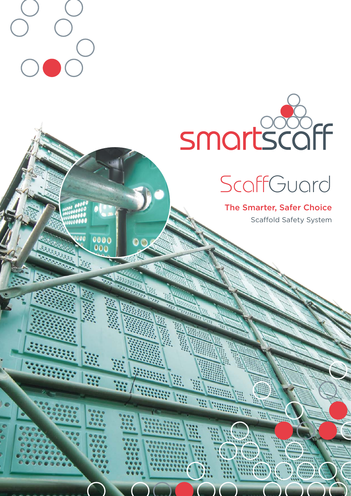

**WARDEN WARDEN** 

New York College Press, 1987, 1987, 1988

 $\bigcup$ 

 $\bigg($ 

 $0000$ 

 $\bullet$ 

# **ScaffGuard**

The Smarter, Safer Choice Scaffold Safety System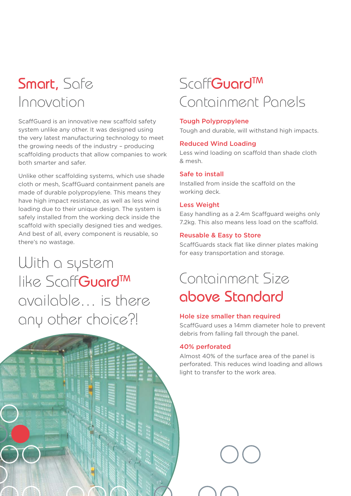# Smart, Safe Innovation

Scaff Guard is an innovative new scaffold safety system unlike any other. It was designed using the very latest manufacturing technology to meet the growing needs of the industry – producing scaffolding products that allow companies to work both smarter and safer.

Unlike other scaffolding systems, which use shade cloth or mesh, Scaff Guard containment panels are made of durable polypropylene. This means they have high impact resistance, as well as less wind loading due to their unique design. The system is safely installed from the working deck inside the scaffold with specially designed ties and wedges. And best of all, every component is reusable, so there's no wastage.

With a system like ScoffGuard<sup>TM</sup> available… is there any other choice?!



# **ScaffGuard<sup>TM</sup>** Containment Panels

### Tough Polypropylene

Tough and durable, will withstand high impacts.

### Reduced Wind Loading

Less wind loading on scaffold than shade cloth & mesh.

#### Safe to install

Installed from inside the scaffold on the working deck.

#### Less Weight

Easy handling as a 2.4m Scaffguard weighs only 7.2kg. This also means less load on the scaffold.

#### Reusable & Easy to Store

Scaff Guards stack flat like dinner plates making for easy transportation and storage.

# Containment Size above Standard

#### Hole size smaller than required

Scaff Guard uses a 14mm diameter hole to prevent debris from falling fall through the panel.

#### 40% perforated

Almost 40% of the surface area of the panel is perforated. This reduces wind loading and allows light to transfer to the work area.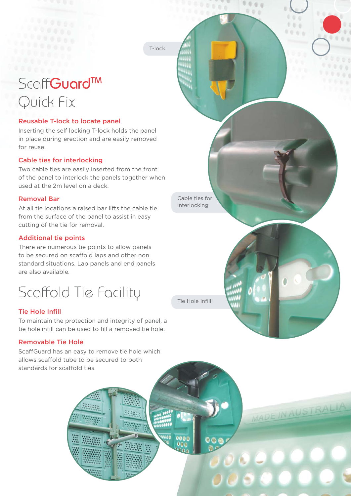T-lock

......

# Scoff**GuardTM** Quick Fix

# Reusable T-lock to locate panel

Inserting the self locking T-lock holds the panel in place during erection and are easily removed for reuse.

# Cable ties for interlocking

Two cable ties are easily inserted from the front of the panel to interlock the panels together when used at the 2m level on a deck.

### Removal Bar

At all tie locations a raised bar lifts the cable tie from the surface of the panel to assist in easy cutting of the tie for removal.

# Additional tie points

There are numerous tie points to allow panels to be secured on scaffold laps and other non standard situations. Lap panels and end panels are also available.

Scaffold Tie Facility

# **Tie Hole Infill**

To maintain the protection and integrity of panel, a tie hole infill can be used to fill a removed tie hole.

### Removable Tie Hole

Scaff Guard has an easy to remove tie hole which allows scaffold tube to be secured to both standards for scaffold ties.

Within

0000

 $000$ 

 $\bullet$ 



MADE IN AUSTRALIA

 $\bullet$   $\bullet$ 

 $0.0.0.0$  $000$